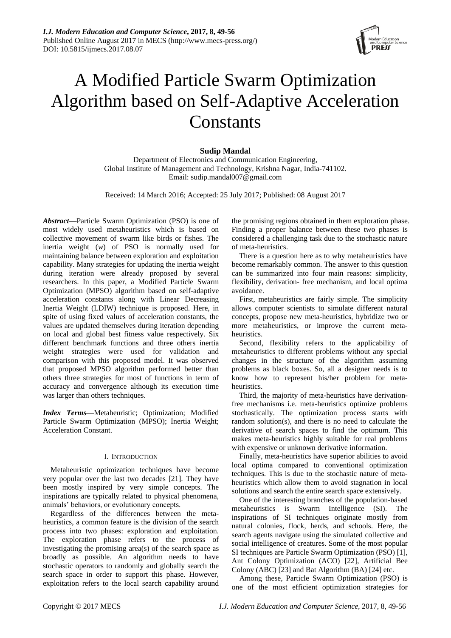

# A Modified Particle Swarm Optimization Algorithm based on Self-Adaptive Acceleration **Constants**

# **Sudip Mandal**

Department of Electronics and Communication Engineering, Global Institute of Management and Technology, Krishna Nagar, India-741102. Email: sudip.mandal007@gmail.com

Received: 14 March 2016; Accepted: 25 July 2017; Published: 08 August 2017

*Abstract***—**Particle Swarm Optimization (PSO) is one of most widely used metaheuristics which is based on collective movement of swarm like birds or fishes. The inertia weight (*w*) of PSO is normally used for maintaining balance between exploration and exploitation capability. Many strategies for updating the inertia weight during iteration were already proposed by several researchers. In this paper, a Modified Particle Swarm Optimization (MPSO) algorithm based on self-adaptive acceleration constants along with Linear Decreasing Inertia Weight (LDIW) technique is proposed. Here, in spite of using fixed values of acceleration constants, the values are updated themselves during iteration depending on local and global best fitness value respectively. Six different benchmark functions and three others inertia weight strategies were used for validation and comparison with this proposed model. It was observed that proposed MPSO algorithm performed better than others three strategies for most of functions in term of accuracy and convergence although its execution time was larger than others techniques.

*Index Terms***—**Metaheuristic; Optimization; Modified Particle Swarm Optimization (MPSO); Inertia Weight; Acceleration Constant.

# I. INTRODUCTION

Metaheuristic optimization techniques have become very popular over the last two decades [21]. They have been mostly inspired by very simple concepts. The inspirations are typically related to physical phenomena, animals' behaviors, or evolutionary concepts.

Regardless of the differences between the metaheuristics, a common feature is the division of the search process into two phases: exploration and exploitation. The exploration phase refers to the process of investigating the promising area(s) of the search space as broadly as possible. An algorithm needs to have stochastic operators to randomly and globally search the search space in order to support this phase. However, exploitation refers to the local search capability around the promising regions obtained in them exploration phase. Finding a proper balance between these two phases is considered a challenging task due to the stochastic nature of meta-heuristics.

There is a question here as to why metaheuristics have become remarkably common. The answer to this question can be summarized into four main reasons: simplicity, flexibility, derivation- free mechanism, and local optima avoidance.

First, metaheuristics are fairly simple. The simplicity allows computer scientists to simulate different natural concepts, propose new meta-heuristics, hybridize two or more metaheuristics, or improve the current metaheuristics.

Second, flexibility refers to the applicability of metaheuristics to different problems without any special changes in the structure of the algorithm assuming problems as black boxes. So, all a designer needs is to know how to represent his/her problem for metaheuristics.

Third, the majority of meta-heuristics have derivationfree mechanisms i.e. meta-heuristics optimize problems stochastically. The optimization process starts with random solution(s), and there is no need to calculate the derivative of search spaces to find the optimum. This makes meta-heuristics highly suitable for real problems with expensive or unknown derivative information.

Finally, meta-heuristics have superior abilities to avoid local optima compared to conventional optimization techniques. This is due to the stochastic nature of metaheuristics which allow them to avoid stagnation in local solutions and search the entire search space extensively.

One of the interesting branches of the population-based metaheuristics is Swarm Intelligence (SI). The inspirations of SI techniques originate mostly from natural colonies, flock, herds, and schools. Here, the search agents navigate using the simulated collective and social intelligence of creatures. Some of the most popular SI techniques are Particle Swarm Optimization (PSO) [1], Ant Colony Optimization (ACO) [22], Artificial Bee Colony (ABC) [23] and Bat Algorithm (BA) [24] etc.

Among these, Particle Swarm Optimization (PSO) is one of the most efficient optimization strategies for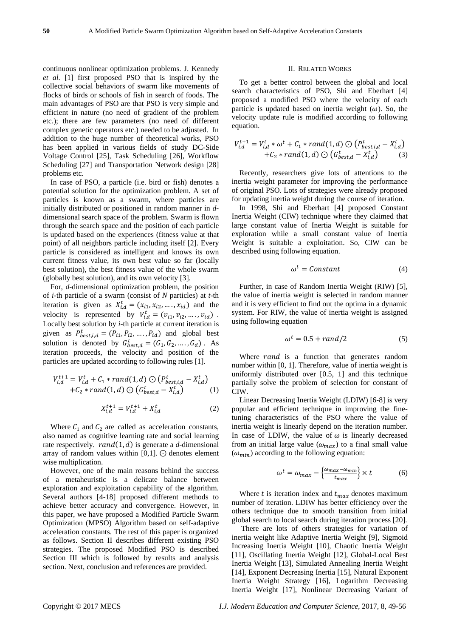continuous nonlinear optimization problems. J. Kennedy *et al.* [1] first proposed PSO that is inspired by the collective social behaviors of swarm like movements of flocks of birds or schools of fish in search of foods. The main advantages of PSO are that PSO is very simple and efficient in nature (no need of gradient of the problem etc.); there are few parameters (no need of different complex genetic operators etc.) needed to be adjusted. In addition to the huge number of theoretical works, PSO has been applied in various fields of study DC-Side Voltage Control [25], Task Scheduling [26], Workflow Scheduling [27] and Transportation Network design [28] problems etc.

In case of PSO, a particle (i.e. bird or fish) denotes a potential solution for the optimization problem. A set of particles is known as a swarm, where particles are initially distributed or positioned in random manner in *d*dimensional search space of the problem. Swarm is flown through the search space and the position of each particle is updated based on the experiences (fitness value at that point) of all neighbors particle including itself [2]. Every particle is considered as intelligent and knows its own current fitness value, its own best value so far (locally best solution), the best fitness value of the whole swarm (globally best solution), and its own velocity [3].

For, *d*-dimensional optimization problem, the position of *i*-th particle of a swarm (consist of *N* particles) at *t*-th iteration is given as  $X_{i,d}^t = (x_{i1}, x_{i2}, \dots, x_{id})$  and the velocity is represented by  $V_{i,d}^t = (v_{i1}, v_{i2}, \dots, v_{id})$ . Locally best solution by *i*-th particle at current iteration is given as  $P_{best,i,d}^t = (P_{i1}, P_{i2}, \dots, P_{id})$  and global best solution is denoted by  $G_{best,d}^t = (G_1, G_2, ..., G_d)$ . As iteration proceeds, the velocity and position of the particles are updated according to following rules [1].

$$
V_{i,d}^{t+1} = V_{i,d}^t + C_1 * rand(1,d) \odot (P_{best,i,d}^t - X_{i,d}^t) + C_2 * rand(1,d) \odot (G_{best,d}^t - X_{i,d}^t)
$$
 (1)

$$
X_{i,d}^{t+1} = V_{i,d}^{t+1} + X_{i,d}^t
$$
 (2)

Where  $C_1$  and  $C_2$  are called as acceleration constants, also named as cognitive learning rate and social learning rate respectively.  $rand(1, d)$  is generate a *d*-dimensional array of random values within  $[0,1]$ .  $\odot$  denotes element wise multiplication.

However, one of the main reasons behind the success of a metaheuristic is a delicate balance between exploration and exploitation capability of the algorithm. Several authors [4-18] proposed different methods to achieve better accuracy and convergence. However, in this paper, we have proposed a Modified Particle Swarm Optimization (MPSO) Algorithm based on self-adaptive acceleration constants. The rest of this paper is organized as follows. Section II describes different existing PSO strategies. The proposed Modified PSO is described Section III which is followed by results and analysis section. Next, conclusion and references are provided.

#### II. RELATED WORKS

To get a better control between the global and local search characteristics of PSO, Shi and Eberhart [4] proposed a modified PSO where the velocity of each particle is updated based on inertia weight ( $\omega$ ). So, the velocity update rule is modified according to following equation.

$$
V_{i,d}^{t+1} = V_{i,d}^t * \omega^t + C_1 * rand(1,d) \odot (P_{best,i,d}^t - X_{i,d}^t) + C_2 * rand(1,d) \odot (G_{best,d}^t - X_{i,d}^t)
$$
 (3)

Recently, researchers give lots of attentions to the inertia weight parameter for improving the performance of original PSO. Lots of strategies were already proposed for updating inertia weight during the course of iteration.

In 1998, Shi and Eberhart [4] proposed Constant Inertia Weight (CIW) technique where they claimed that large constant value of Inertia Weight is suitable for exploration while a small constant value of Inertia Weight is suitable a exploitation. So, CIW can be described using following equation.

$$
\omega^t = \text{Constant} \tag{4}
$$

Further, in case of Random Inertia Weight (RIW) [5], the value of inertia weight is selected in random manner and it is very efficient to find out the optima in a dynamic system. For RIW, the value of inertia weight is assigned using following equation

$$
\omega^t = 0.5 + rand/2 \tag{5}
$$

Where  $rand$  is a function that generates random number within [0, 1]. Therefore, value of inertia weight is uniformly distributed over [0.5, 1] and this technique partially solve the problem of selection for constant of CIW.

Linear Decreasing Inertia Weight (LDIW) [6-8] is very popular and efficient technique in improving the finetuning characteristics of the PSO where the value of inertia weight is linearly depend on the iteration number. In case of LDIW, the value of  $\omega$  is linearly decreased from an initial large value  $(\omega_{max})$  to a final small value  $(\omega_{min})$  according to the following equation:

$$
\omega^t = \omega_{max} - \left\{ \frac{\omega_{max} - \omega_{min}}{t_{max}} \right\} \times t \tag{6}
$$

Where  $t$  is iteration index and  $t_{max}$  denotes maximum number of iteration. LDIW has better efficiency over the others technique due to smooth transition from initial global search to local search during iteration process [20].

There are lots of others strategies for variation of inertia weight like Adaptive Inertia Weight [9], Sigmoid Increasing Inertia Weight [10], Chaotic Inertia Weight [11], Oscillating Inertia Weight [12], Global-Local Best Inertia Weight [13], Simulated Annealing Inertia Weight [14], Exponent Decreasing Inertia [15], Natural Exponent Inertia Weight Strategy [16], Logarithm Decreasing Inertia Weight [17], Nonlinear Decreasing Variant of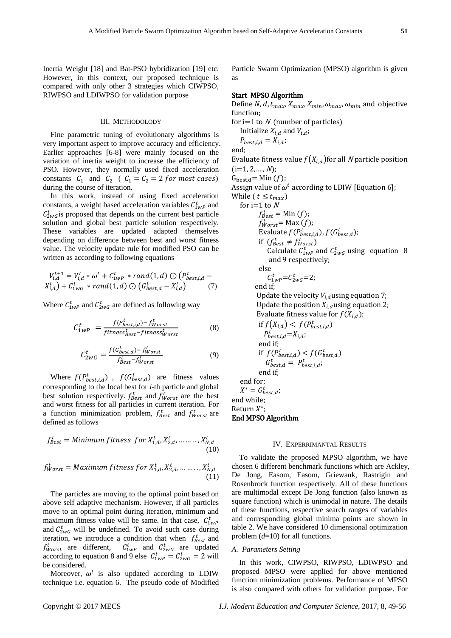Inertia Weight [18] and Bat-PSO hybridization [19] etc. However, in this context, our proposed technique is compared with only other 3 strategies which CIWPSO, RIWPSO and LDIWPSO for validation purpose

### III. METHODOLODY

Fine parametric tuning of evolutionary algorithms is very important aspect to improve accuracy and efficiency. Earlier approaches [6-8] were mainly focused on the variation of inertia weight to increase the efficiency of PSO. However, they normally used fixed acceleration constants  $C_1$  and  $C_2$  (  $C_1 = C_2 = 2$  for most cases) during the course of iteration.

In this work, instead of using fixed acceleration constants, a weight based acceleration variables  $C_{1wp}^t$  and  $C_{2wG}^{t}$  is proposed that depends on the current best particle solution and global best particle solution respectively. These variables are updated adapted themselves depending on difference between best and worst fitness value. The velocity update rule for modified PSO can be written as according to following equations

$$
V_{i,d}^{t+1} = V_{i,d}^t * \omega^t + C_{1wP}^t * rand(1,d) \odot (P_{best,i,d}^t - X_{i,d}^t) + C_{1wG}^t * rand(1,d) \odot (G_{best,d}^t - X_{i,d}^t)
$$
 (7)

Where  $C_{1WP}^t$  and  $C_{2WG}^t$  are defined as following way

$$
C_{1WP}^t = \frac{f(P_{best,i,d}^t) - f_{Worst}^t}{fitness_{best}^t - fitness_{Worst}^t}
$$
(8)

$$
C_{2WG}^t = \frac{f(G_{best,d}^t) - f_{Worst}^t}{f_{Best}^t - f_{Worst}^t} \tag{9}
$$

Where  $f(P_{best,i,d}^t)$ ,  $f(G_{best,d}^t)$  are fitness values corresponding to the local best for *i*-th particle and global best solution respectively.  $f_{\text{Best}}^t$  and  $f_{\text{Worst}}^t$  are the best and worst fitness for all particles in current iteration. For a function minimization problem,  $f_{\text{Best}}^t$  and  $f_{\text{Worst}}^t$  are defined as follows

$$
f_{Best}^t = Minimum fitness \ for \ X_{1,d}^t, X_{2,d}^t, \dots, X_{N,d}^t
$$
\n
$$
(10)
$$

$$
f_{Worst}^t = Maximum fitness for X_{1,d}^t, X_{2,d}^t, \dots \dots \dots, X_{N,d}^t
$$
\n(11)

The particles are moving to the optimal point based on above self adaptive mechanism. However, if all particles move to an optimal point during iteration, minimum and maximum fitness value will be same. In that case,  $C_{1wP}^t$ and  $C_{2wG}^{t}$  will be undefined. To avoid such case during iteration, we introduce a condition that when  $f_{\text{Best}}^t$  and  $f_{Worst}^t$  are different,  $C_{1wP}^t$  and  $C_{2wG}^t$  are updated according to equation 8 and 9 else  $C_{1wp}^t = C_{2wG}^t = 2$  will be considered.

Moreover,  $\omega^t$  is also updated according to LDIW technique i.e. equation 6. The pseudo code of Modified

Particle Swarm Optimization (MPSO) algorithm is given as

## Start MPSO Algorithm

Define N, d,  $t_{max}$ ,  $X_{max}$ ,  $X_{min}$ ,  $\omega_{max}$ ,  $\omega_{min}$  and objective function;

for  $i=1$  to N (number of particles) Initialize  $X_i$ , and  $V_i$ ,

$$
P_{best,i,d} = X_{i,d};
$$

end;

Evaluate fitness value  $f(X_{i,d})$  for all N particle position  $(i=1, 2, \ldots, N);$ 

 $G_{\text{best.d}} = \text{Min}(f);$ 

Assign value of  $\omega^t$  according to LDIW [Equation 6]; While (  $t \leq t_{max}$ )

for i=1 to *N*  
\n
$$
f_{Best}^t = \text{Min}(f)
$$
;  
\n $f_{worst}^t = \text{Max}(f)$ ;  
\nEvaluate  $f(P_{best,i,d}^t), f(G_{best,d}^t)$ ;  
\nif  $(f_{Best}^t \neq f_{worst}^t)$   
\nCalculate  $C_{1WP}^t$  and  $C_{2WG}^t$  using equation 8  
\nand 9 respectively;  
\nelse  
\n $C_{1WP}^t = C_{2WG}^t = 2$ ;  
\nend if;  
\nUpdate the velocity  $V_{i,d}$  using equation 7;  
\nUpdate the position  $X_{i,d}$  using equation 2;  
\nEvaluate fitness value for  $f(X_{i,d})$ ;  
\nif  $f(X_{i,d}) < f(P_{best,i,d}^t)$   
\n $P_{best,i,d}^t = X_{i,d}$ ;  
\nend if;  
\nif  $f(P_{best,i,d}^t) < f(G_{best,d}^t)$   
\n $G_{best,d}^t = P_{best,i,d}^t$   
\nend for;  
\n $X^* = G_{best,d}^t$ ;  
\nend while;  
\nReturn  $X^*$ ;  
\n $X^*$ 

#### IV. EXPERRIMANTAL RESULTS

To validate the proposed MPSO algorithm, we have chosen 6 different benchmark functions which are Ackley, De Jong, Easom, Easom, Griewank, Rastrigin and Rosenbrock function respectively. All of these functions are multimodal except De Jong function (also known as square function) which is unimodal in nature. The details of these functions, respective search ranges of variables and corresponding global minima points are shown in table 2. We have considered 10 dimensional optimization problem (*d*=10) for all functions.

# *A. Parameters Setting*

End MPSO Algorithm

Ret

In this work, CIWPSO, RIWPSO, LDIWPSO and proposed MPSO were applied for above mentioned function minimization problems. Performance of MPSO is also compared with others for validation purpose. For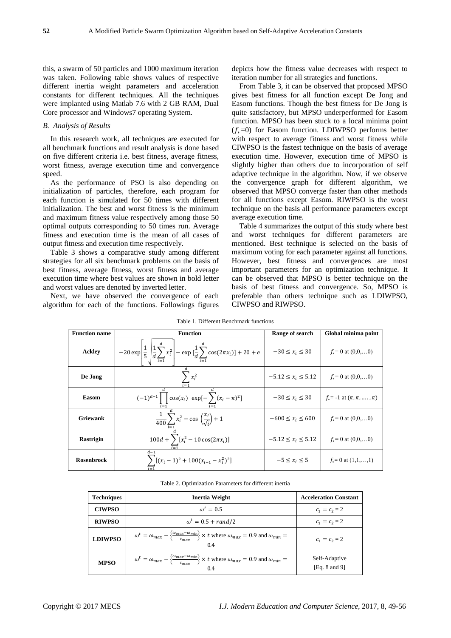this, a swarm of 50 particles and 1000 maximum iteration was taken. Following table shows values of respective different inertia weight parameters and acceleration constants for different techniques. All the techniques were implanted using Matlab 7.6 with 2 GB RAM, Dual Core processor and Windows7 operating System.

## *B. Analysis of Results*

In this research work, all techniques are executed for all benchmark functions and result analysis is done based on five different criteria i.e. best fitness, average fitness, worst fitness, average execution time and convergence speed.

As the performance of PSO is also depending on initialization of particles, therefore, each program for each function is simulated for 50 times with different initialization. The best and worst fitness is the minimum and maximum fitness value respectively among those 50 optimal outputs corresponding to 50 times run. Average fitness and execution time is the mean of all cases of output fitness and execution time respectively.

Table 3 shows a comparative study among different strategies for all six benchmark problems on the basis of best fitness, average fitness, worst fitness and average execution time where best values are shown in bold letter and worst values are denoted by inverted letter.

Next, we have observed the convergence of each algorithm for each of the functions. Followings figures depicts how the fitness value decreases with respect to iteration number for all strategies and functions.

From Table 3, it can be observed that proposed MPSO gives best fitness for all function except De Jong and Easom functions. Though the best fitness for De Jong is quite satisfactory, but MPSO underperformed for Easom function. MPSO has been stuck to a local minima point  $(t_0=0)$  for Easom function. LDIWPSO performs better with respect to average fitness and worst fitness while CIWPSO is the fastest technique on the basis of average execution time. However, execution time of MPSO is slightly higher than others due to incorporation of self adaptive technique in the algorithm. Now, if we observe the convergence graph for different algorithm, we observed that MPSO converge faster than other methods for all functions except Easom. RIWPSO is the worst technique on the basis all performance parameters except average execution time.

Table 4 summarizes the output of this study where best and worst techniques for different parameters are mentioned. Best technique is selected on the basis of maximum voting for each parameter against all functions. However, best fitness and convergences are most important parameters for an optimization technique. It can be observed that MPSO is better technique on the basis of best fitness and convergence. So, MPSO is preferable than others technique such as LDIWPSO, CIWPSO and RIWPSO.

| <b>Function name</b> | <b>Function</b>                                                                                                                                              | Range of search          | Global minima point               |
|----------------------|--------------------------------------------------------------------------------------------------------------------------------------------------------------|--------------------------|-----------------------------------|
| <b>Ackley</b>        | $-20 \exp \left[\frac{1}{5} \left( \frac{1}{d} \sum_{i=1}^{u} x_i^2 \right) - \exp \left[\frac{1}{d} \sum_{i=1}^{u} \cos(2\pi x_i) \right] + 20 + e \right]$ | $-30 \le x_i \le 30$     | $f_* = 0$ at $(0,0,0)$            |
| De Jong              | $x_i^2$                                                                                                                                                      | $-5.12 \le x_i \le 5.12$ | $f_* = 0$ at $(0,0,0)$            |
| <b>Easom</b>         | $(-1)^{d+1} \prod \cos(x_i) \exp[-\sum (x_i - \pi)^2]$                                                                                                       | $-30 \le x_i \le 30$     | $f_* = -1$ at $(\pi, \pi, , \pi)$ |
| <b>Griewank</b>      | $\frac{1}{400}\sum x_i^2 - \cos\left(\frac{x_i}{\sqrt{i}}\right) + 1$                                                                                        | $-600 \le x_i \le 600$   | $f_* = 0$ at $(0,0,0)$            |
| <b>Rastrigin</b>     | $100d + \sum [x_i^2 - 10 \cos(2\pi x_i)]$                                                                                                                    | $-5.12 \le x_i \le 5.12$ | $f_* = 0$ at $(0,0,0)$            |
| <b>Rosenbrock</b>    | $d-1$<br>$\sum [(x_i-1)^2+100(x_{i+1}-x_i^2)^2]$                                                                                                             | $-5 \leq x_i \leq 5$     | $f_* = 0$ at $(1,1,\ldots,1)$     |

Table 1. Different Benchmark functions

Table 2. Optimization Parameters for different inertia

| Techniques     | Inertia Weight                                                                                                                                           | <b>Acceleration Constant</b>   |
|----------------|----------------------------------------------------------------------------------------------------------------------------------------------------------|--------------------------------|
| <b>CIWPSO</b>  | $\omega^t=0.5$                                                                                                                                           | $c_1 = c_2 = 2$                |
| <b>RIWPSO</b>  | $\omega^t = 0.5 + rand/2$                                                                                                                                | $c_1 = c_2 = 2$                |
| <b>LDIWPSO</b> | $\omega^t = \omega_{max} - \left\{ \frac{\omega_{max} - \omega_{min}}{t_{max}} \right\} \times t$ where $\omega_{max} = 0.9$ and $\omega_{min} =$<br>0.4 | $c_1 = c_2 = 2$                |
| <b>MPSO</b>    | $\omega^t = \omega_{max} - \left\{ \frac{\omega_{max} - \omega_{min}}{t_{max}} \right\} \times t$ where $\omega_{max} = 0.9$ and $\omega_{min} =$<br>0.4 | Self-Adaptive<br>[Eq. 8 and 9] |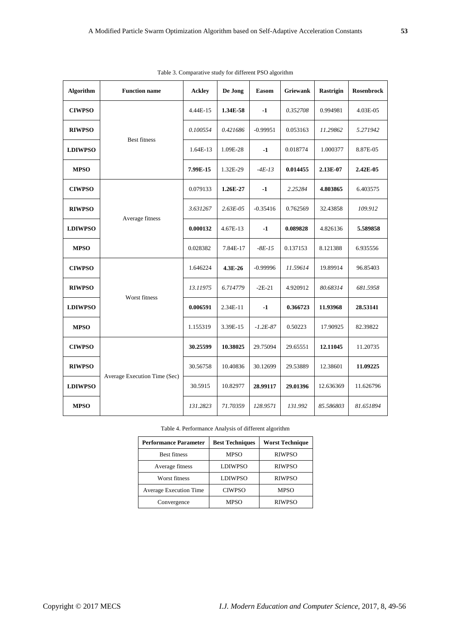| <b>Algorithm</b> | <b>Function name</b>         | <b>Ackley</b> | De Jong      | <b>Easom</b> | <b>Griewank</b> | <b>Rastrigin</b> | <b>Rosenbrock</b> |
|------------------|------------------------------|---------------|--------------|--------------|-----------------|------------------|-------------------|
| <b>CIWPSO</b>    | <b>Best fitness</b>          | 4.44E-15      | 1.34E-58     | $-1$         | 0.352708        | 0.994981         | 4.03E-05          |
| <b>RIWPSO</b>    |                              | 0.100554      | 0.421686     | $-0.99951$   | 0.053163        | 11.29862         | 5.271942          |
| <b>LDIWPSO</b>   |                              | 1.64E-13      | 1.09E-28     | $-1$         | 0.018774        | 1.000377         | 8.87E-05          |
| <b>MPSO</b>      |                              | 7.99E-15      | 1.32E-29     | $-4E-13$     | 0.014455        | 2.13E-07         | 2.42E-05          |
| <b>CIWPSO</b>    | Average fitness              | 0.079133      | 1.26E-27     | $-1$         | 2.25284         | 4.803865         | 6.403575          |
| <b>RIWPSO</b>    |                              | 3.631267      | $2.63E - 05$ | $-0.35416$   | 0.762569        | 32.43858         | 109.912           |
| <b>LDIWPSO</b>   |                              | 0.000132      | 4.67E-13     | $-1$         | 0.089828        | 4.826136         | 5.589858          |
| <b>MPSO</b>      |                              | 0.028382      | 7.84E-17     | $-8E-15$     | 0.137153        | 8.121388         | 6.935556          |
| <b>CIWPSO</b>    | Worst fitness                | 1.646224      | 4.3E-26      | $-0.99996$   | 11.59614        | 19.89914         | 96.85403          |
| <b>RIWPSO</b>    |                              | 13.11975      | 6.714779     | $-2E-21$     | 4.920912        | 80.68314         | 681.5958          |
| <b>LDIWPSO</b>   |                              | 0.006591      | 2.34E-11     | $-1$         | 0.366723        | 11.93968         | 28.53141          |
| <b>MPSO</b>      |                              | 1.155319      | 3.39E-15     | $-1.2E-87$   | 0.50223         | 17.90925         | 82.39822          |
| <b>CIWPSO</b>    | Average Execution Time (Sec) | 30.25599      | 10.38025     | 29.75094     | 29.65551        | 12.11045         | 11.20735          |
| <b>RIWPSO</b>    |                              | 30.56758      | 10.40836     | 30.12699     | 29.53889        | 12.38601         | 11.09225          |
| <b>LDIWPSO</b>   |                              | 30.5915       | 10.82977     | 28.99117     | 29.01396        | 12.636369        | 11.626796         |
| <b>MPSO</b>      |                              | 131.2823      | 71.70359     | 128.9571     | 131.992         | 85.586803        | 81.651894         |

| Table 3. Comparative study for different PSO algorithm |  |  |
|--------------------------------------------------------|--|--|
|                                                        |  |  |

Table 4. Performance Analysis of different algorithm

| <b>Performance Parameter</b>  | <b>Best Techniques</b> | <b>Worst Technique</b> |  |
|-------------------------------|------------------------|------------------------|--|
| <b>Best fitness</b>           | <b>MPSO</b>            | <b>RIWPSO</b>          |  |
| Average fitness               | <b>LDIWPSO</b>         | <b>RIWPSO</b>          |  |
| Worst fitness                 | <b>LDIWPSO</b>         | <b>RIWPSO</b>          |  |
| <b>Average Execution Time</b> | <b>CIWPSO</b>          | <b>MPSO</b>            |  |
| Convergence                   | MPSO                   | <b>RIWPSO</b>          |  |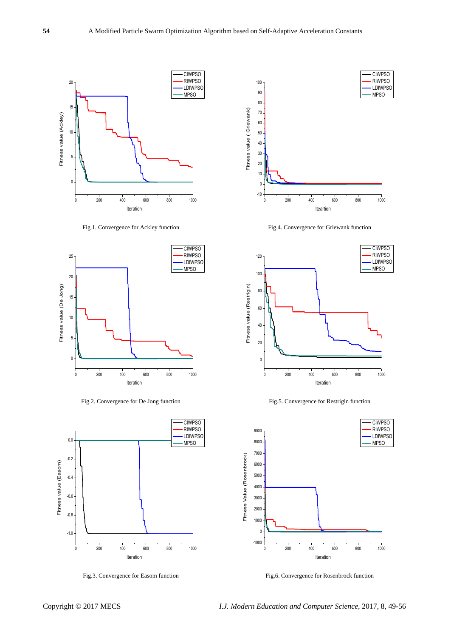

Fig.1. Convergence for Ackley function



Fig.2. Convergence for De Jong function



Fig.3. Convergence for Easom function



Fig.4. Convergence for Griewank function







Fig.6. Convergence for Rosenbrock function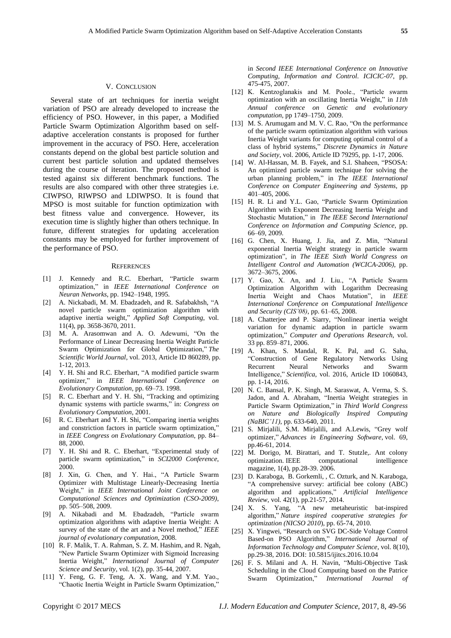#### V. CONCLUSION

Several state of art techniques for inertia weight variation of PSO are already developed to increase the efficiency of PSO. However, in this paper, a Modified Particle Swarm Optimization Algorithm based on selfadaptive acceleration constants is proposed for further improvement in the accuracy of PSO. Here, acceleration constants depend on the global best particle solution and current best particle solution and updated themselves during the course of iteration. The proposed method is tested against six different benchmark functions. The results are also compared with other three strategies i.e. CIWPSO, RIWPSO and LDIWPSO. It is found that MPSO is most suitable for function optimization with best fitness value and convergence. However, its execution time is slightly higher than others technique. In future, different strategies for updating acceleration constants may be employed for further improvement of the performance of PSO.

#### **REFERENCES**

- [1] J. Kennedy and R.C. Eberhart, "Particle swarm optimization," in *IEEE International Conference on Neuran Networks*, pp. 1942–1948, 1995.
- [2] A. Nickabadi, M. M. Ebadzadeh, and R. Safabakhsh, "A novel particle swarm optimization algorithm with adaptive inertia weight," *Applied Soft Computing*, vol. 11(4), pp. 3658-3670, 2011.
- [3] M. A. Arasomwan and A. O. Adewumi, "On the Performance of Linear Decreasing Inertia Weight Particle Swarm Optimization for Global Optimization," *The Scientific World Journal*, vol. 2013, Article ID 860289, pp. 1-12, 2013.
- [4] Y. H. Shi and R.C. Eberhart, "A modified particle swarm optimizer," in *IEEE International Conference on Evolutionary Computation*, pp. 69–73. 1998.
- [5] R. C. Eberhart and Y. H. Shi, "Tracking and optimizing dynamic systems with particle swarms," in: *Congress on Evolutionary Computation*, 2001.
- [6] R. C. Eberhart and Y. H. Shi, "Comparing inertia weights and constriction factors in particle swarm optimization," in *IEEE Congress on Evolutionary Computation*, pp. 84– 88, 2000.
- [7] Y. H. Shi and R. C. Eberhart, "Experimental study of particle swarm optimization," in *SCI2000 Conference*, 2000.
- [8] J. Xin, G. Chen, and Y. Hai., "A Particle Swarm Optimizer with Multistage Linearly-Decreasing Inertia Weight," in *IEEE International Joint Conference on Computational Sciences and Optimization (CSO-2009)*, pp. 505–508, 2009.
- [9] A. Nikabadi and M. Ebadzadeh, "Particle swarm optimization algorithms with adaptive Inertia Weight: A survey of the state of the art and a Novel method," *IEEE journal of evolutionary computation*, 2008.
- [10] R. F. Malik, T. A. Rahman, S. Z. M. Hashim, and R. Ngah, "New Particle Swarm Optimizer with Sigmoid Increasing Inertia Weight," *International Journal of Computer Science and Security*, vol. 1(2), pp. 35-44, 2007.
- [11] Y. Feng, G. F. Teng, A. X. Wang, and Y.M. Yao., "Chaotic Inertia Weight in Particle Swarm Optimization,"

in *Second IEEE International Conference on Innovative Computing, Information and Control. ICICIC-07*, pp. 475-475, 2007.

- [12] K. Kentzoglanakis and M. Poole., "Particle swarm optimization with an oscillating Inertia Weight," in *11th Annual conference on Genetic and evolutionary computation*, pp 1749–1750, 2009.
- [13] M. S. Arumugam and M. V. C. Rao, "On the performance" of the particle swarm optimization algorithm with various Inertia Weight variants for computing optimal control of a class of hybrid systems," *Discrete Dynamics in Nature and Society*, vol. 2006, Article ID 79295, pp. 1-17, 2006.
- [14] W. Al-Hassan, M. B. Fayek, and S.I. Shaheen, "PSOSA: An optimized particle swarm technique for solving the urban planning problem," in *The IEEE International Conference on Computer Engineering and Systems*, pp 401–405, 2006.
- [15] H. R. Li and Y.L. Gao, "Particle Swarm Optimization Algorithm with Exponent Decreasing Inertia Weight and Stochastic Mutation," in *The IEEE Second International Conference on Information and Computing Science*, pp. 66–69, 2009.
- [16] G. Chen, X. Huang, J. Jia, and Z. Min, "Natural exponential Inertia Weight strategy in particle swarm optimization", in *The IEEE Sixth World Congress on Intelligent Control and Automation (WCICA-2006)*, pp. 3672–3675, 2006.
- [17] Y. Gao, X. An, and J. Liu., "A Particle Swarm Optimization Algorithm with Logarithm Decreasing Inertia Weight and Chaos Mutation", in *IEEE International Conference on Computational Intelligence and Security (CIS'08)*, pp. 61–65, 2008.
- [18] A. Chatterjee and P. Siarry, "Nonlinear inertia weight variation for dynamic adaption in particle swarm optimization," *Computer and Operations Research*, vol. 33 pp. 859–871, 2006.
- [19] A. Khan, S. Mandal, R. K. Pal, and G. Saha, "Construction of Gene Regulatory Networks Using Recurrent Neural Networks and Swarm Intelligence," *Scientifica*, vol. 2016, Article ID 1060843, pp. 1-14, 2016.
- [20] N. C. Bansal, P. K. Singh, M. Saraswat, A. Verma, S. S. Jadon, and A. Abraham, "Inertia Weight strategies in Particle Swarm Optimization," in *Third World Congress on Nature and Biologically Inspired Computing (NaBIC'11)*, pp. 633-640, 2011.
- [21] S. Mirjalili, S.M. Mirjalili, and A.Lewis, "Grey wolf optimizer," *Advances in Engineering Software*, vol. 69, pp.46-61, 2014.
- [22] M. Dorigo, M. Birattari, and T. Stutzle,. Ant colony optimization. IEEE computational intelligence magazine, 1(4), pp.28-39. 2006.
- [23] D. Karaboga, B. Gorkemli, , C. Ozturk, and N. Karaboga, "A comprehensive survey: artificial bee colony (ABC) algorithm and applications," *Artificial Intelligence Review*, vol. 42(1), pp.21-57, 2014.
- [24] X. S. Yang, "A new metaheuristic bat-inspired algorithm," *Nature inspired cooperative strategies for optimization (NICSO 2010*), pp. 65-74, 2010.
- [25] X. Yingwei, "Research on SVG DC-Side Voltage Control Based-on PSO Algorithm," *International Journal of Information Technology and Computer Science*, vol. 8(10), pp.29-38, 2016. DOI: 10.5815/ijitcs.2016.10.04
- [26] F. S. Milani and A. H. Navin, "Multi-Objective Task Scheduling in the Cloud Computing based on the Patrice Swarm Optimization," *International Journal of*